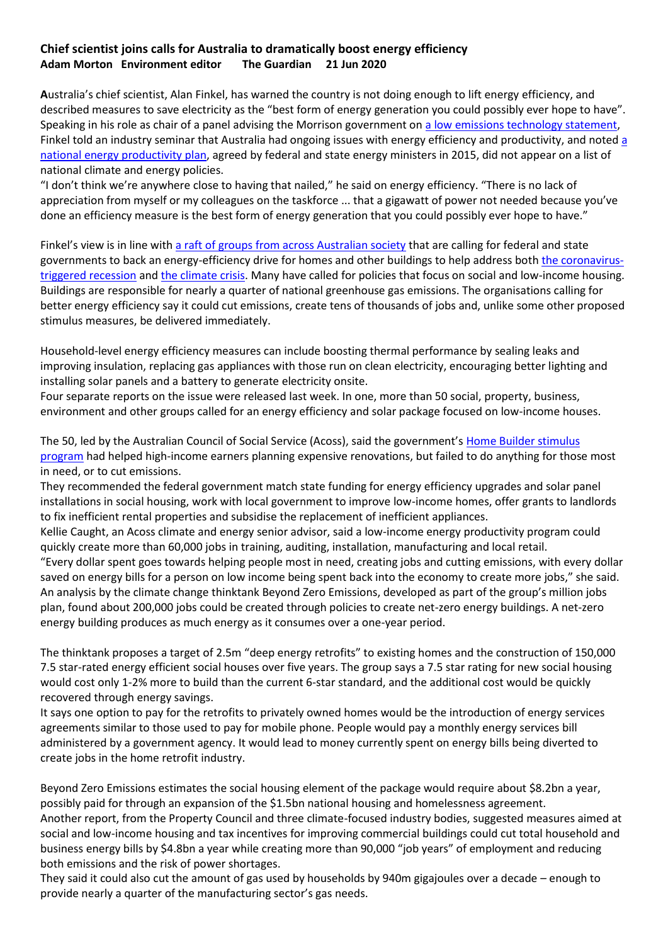## **Chief scientist joins calls for Australia to dramatically boost energy efficiency Adam Morton Environment editor The Guardian 21 Jun 2020**

**A**ustralia's chief scientist, Alan Finkel, has warned the country is not doing enough to lift energy efficiency, and described measures to save electricity as the "best form of energy generation you could possibly ever hope to have". Speaking in his role as chair of a panel advising the Morrison government on [a low emissions technology statement,](https://consult.industry.gov.au/climate-change/technology-investment-roadmap/supporting_documents/technologyinvestmentroadmapdiscussionpaper.pdf) Finkel told an industry seminar that Australi[a](https://www.energy.gov.au/government-priorities/energy-productivity-and-energy-efficiency/national-energy-productivity-plan) had ongoing issues with energy efficiency and productivity, and noted a [national energy productivity plan,](https://www.energy.gov.au/government-priorities/energy-productivity-and-energy-efficiency/national-energy-productivity-plan) agreed by federal and state energy ministers in 2015, did not appear on a list of national climate and energy policies.

"I don't think we're anywhere close to having that nailed," he said on energy efficiency. "There is no lack of appreciation from myself or my colleagues on the taskforce ... that a gigawatt of power not needed because you've done an efficiency measure is the best form of energy generation that you could possibly ever hope to have."

Finkel's view is in line with [a raft of groups from across Australian society](https://www.theguardian.com/australia-news/2020/may/22/australian-government-urged-to-back-sustainable-covid-19-recovery-with-clean-energy-transition) that are calling for federal and state governments to back an energy-efficiency drive for homes and other buildings to help address both [the coronavirus](https://www.theguardian.com/world/coronavirus-outbreak)[triggered recession](https://www.theguardian.com/world/coronavirus-outbreak) and [the climate crisis.](https://www.theguardian.com/environment/climate-change) Many have called for policies that focus on social and low-income housing. Buildings are responsible for nearly a quarter of national greenhouse gas emissions. The organisations calling for better energy efficiency say it could cut emissions, create tens of thousands of jobs and, unlike some other proposed stimulus measures, be delivered immediately.

Household-level energy efficiency measures can include boosting thermal performance by sealing leaks and improving insulation, replacing gas appliances with those run on clean electricity, encouraging better lighting and installing solar panels and a battery to generate electricity onsite.

Four separate reports on the issue were released last week. In one, more than 50 social, property, business, environment and other groups called for an energy efficiency and solar package focused on low-income houses.

The 50, led by the Australian Council of Social Service (Acoss), said the government's Home [Builder stimulus](https://www.theguardian.com/australia-news/2020/jun/03/morrison-government-to-offer-25000-grants-to-help-build-and-renovate-homes)  [program](https://www.theguardian.com/australia-news/2020/jun/03/morrison-government-to-offer-25000-grants-to-help-build-and-renovate-homes) had helped high-income earners planning expensive renovations, but failed to do anything for those most in need, or to cut emissions.

They recommended the federal government match state funding for energy efficiency upgrades and solar panel installations in social housing, work with local government to improve low-income homes, offer grants to landlords to fix inefficient rental properties and subsidise the replacement of inefficient appliances.

Kellie Caught, an Acoss climate and energy senior advisor, said a low-income energy productivity program could quickly create more than 60,000 jobs in training, auditing, installation, manufacturing and local retail.

"Every dollar spent goes towards helping people most in need, creating jobs and cutting emissions, with every dollar saved on energy bills for a person on low income being spent back into the economy to create more jobs," she said. An analysis by the climate change thinktank Beyond Zero Emissions, developed as part of the group's million jobs plan, found about 200,000 jobs could be created through policies to create net-zero energy buildings. A net-zero energy building produces as much energy as it consumes over a one-year period.

The thinktank proposes a target of 2.5m "deep energy retrofits" to existing homes and the construction of 150,000 7.5 star-rated energy efficient social houses over five years. The group says a 7.5 star rating for new social housing would cost only 1-2% more to build than the current 6-star standard, and the additional cost would be quickly recovered through energy savings.

It says one option to pay for the retrofits to privately owned homes would be the introduction of energy services agreements similar to those used to pay for mobile phone. People would pay a monthly energy services bill administered by a government agency. It would lead to money currently spent on energy bills being diverted to create jobs in the home retrofit industry.

Beyond Zero Emissions estimates the social housing element of the package would require about \$8.2bn a year, possibly paid for through an expansion of the \$1.5bn national housing and homelessness agreement. Another report, from the Property Council and three climate-focused industry bodies, suggested measures aimed at social and low-income housing and tax incentives for improving commercial buildings could cut total household and business energy bills by \$4.8bn a year while creating more than 90,000 "job years" of employment and reducing both emissions and the risk of power shortages.

They said it could also cut the amount of gas used by households by 940m gigajoules over a decade – enough to provide nearly a quarter of the manufacturing sector's gas needs.